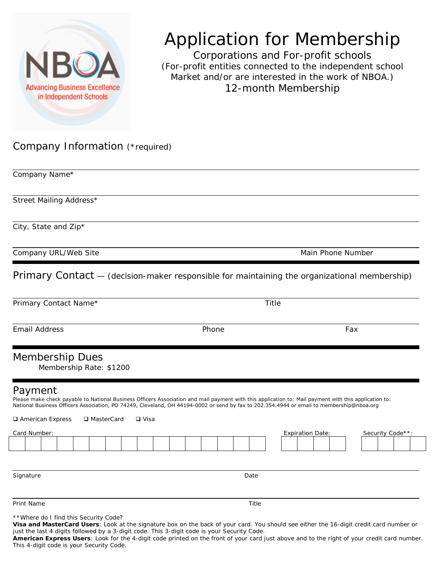

## Application for Membership

Corporations and For-profit schools (For-profit entities connected to the independent school Market and/or are interested in the work of NBOA.) 12-month Membership

## Company Information (\*required)

| Company Name*                                                                                                                                                                                                                                                                                                                                                                 |                   |                                             |
|-------------------------------------------------------------------------------------------------------------------------------------------------------------------------------------------------------------------------------------------------------------------------------------------------------------------------------------------------------------------------------|-------------------|---------------------------------------------|
| Street Mailing Address*                                                                                                                                                                                                                                                                                                                                                       |                   |                                             |
| City, State and Zip*                                                                                                                                                                                                                                                                                                                                                          |                   |                                             |
| Company URL/Web Site                                                                                                                                                                                                                                                                                                                                                          | Main Phone Number |                                             |
| Primary Contact - (decision-maker responsible for maintaining the organizational membership)                                                                                                                                                                                                                                                                                  |                   |                                             |
| Primary Contact Name*                                                                                                                                                                                                                                                                                                                                                         | Title             |                                             |
| <b>Email Address</b>                                                                                                                                                                                                                                                                                                                                                          | Phone             | Fax                                         |
| <b>Membership Dues</b><br>Membership Rate: \$1200                                                                                                                                                                                                                                                                                                                             |                   |                                             |
| Payment<br>Please make check payable to National Business Officers Association and mail payment with this application to: Mail payment with this application to:<br>National Business Officers Association, PO 74249, Cleveland, OH 44194-0002 or send by fax to 202.354.4944 or email to membership@nboa.org<br>□ American Express<br>□ MasterCard<br>□ Visa<br>Card Number: |                   | <b>Expiration Date:</b><br>Security Code**: |
| Signature                                                                                                                                                                                                                                                                                                                                                                     | Date              |                                             |
| Print Name                                                                                                                                                                                                                                                                                                                                                                    | Title             |                                             |

\*\*Where do I find this Security Code?

**Visa and MasterCard Users**: Look at the signature box on the back of your card. You should see either the 16-digit credit card number or just the last 4 digits followed by a 3-digit code. This 3-digit code is your Security Code.

**American Express Users**: Look for the 4-digit code printed on the front of your card just above and to the right of your credit card number. This 4-digit code is your Security Code.